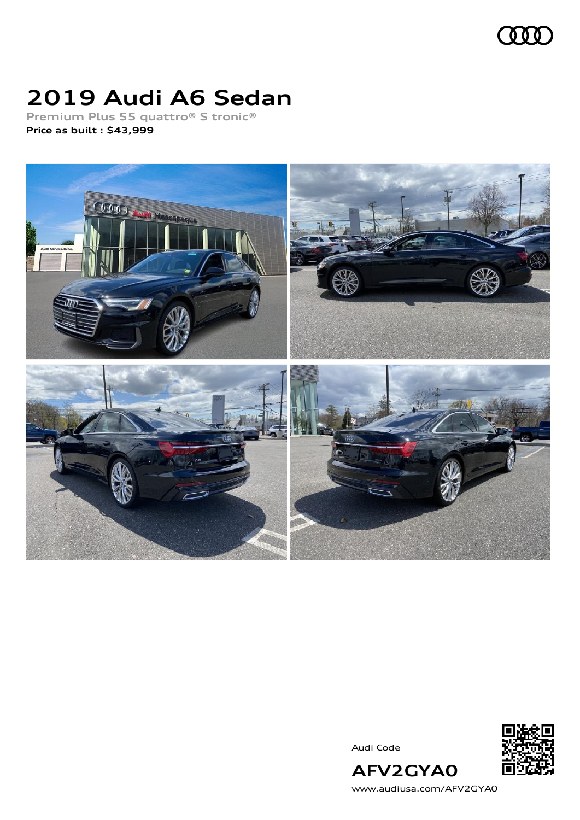

# **2019 Audi A6 Sedan**

**Premium Plus 55 quattro® S tronic® Price as built [:](#page-8-0) \$43,999**



Audi Code



[www.audiusa.com/AFV2GYA0](https://www.audiusa.com/AFV2GYA0)

**AFV2GYA0**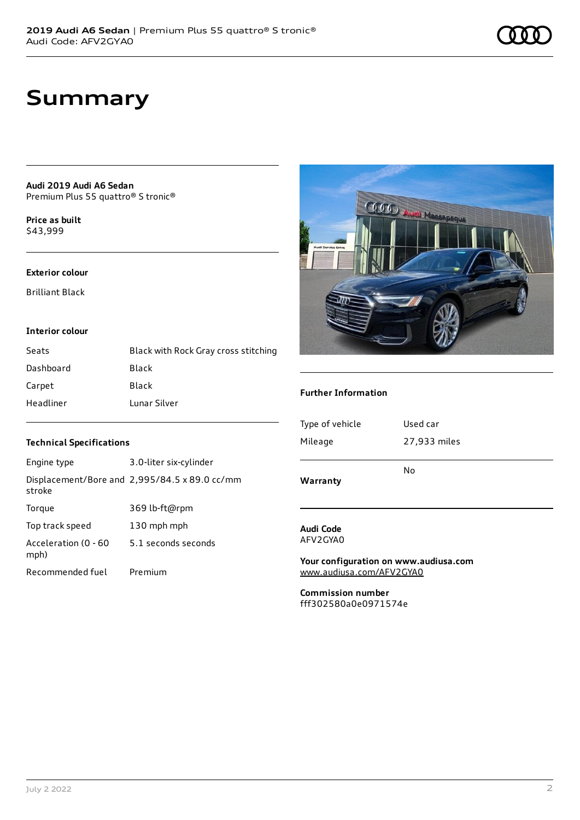**Audi 2019 Audi A6 Sedan** Premium Plus 55 quattro® S tronic®

**Price as buil[t](#page-8-0)** \$43,999

#### **Exterior colour**

Brilliant Black

#### **Interior colour**

| Seats     | Black with Rock Gray cross stitching |
|-----------|--------------------------------------|
| Dashboard | Black                                |
| Carpet    | Black                                |
| Headliner | Lunar Silver                         |



| Engine type                  | 3.0-liter six-cylinder                        |
|------------------------------|-----------------------------------------------|
| stroke                       | Displacement/Bore and 2,995/84.5 x 89.0 cc/mm |
| Torque                       | 369 lb-ft@rpm                                 |
| Top track speed              | 130 mph mph                                   |
| Acceleration (0 - 60<br>mph) | 5.1 seconds seconds                           |
| Recommended fuel             | Premium                                       |



### **Further Information**

| Warranty        |              |  |
|-----------------|--------------|--|
|                 | No           |  |
| Mileage         | 27,933 miles |  |
| Type of vehicle | Used car     |  |
|                 |              |  |

#### **Audi Code** AFV2GYA0

**Your configuration on www.audiusa.com** [www.audiusa.com/AFV2GYA0](https://www.audiusa.com/AFV2GYA0)

**Commission number** fff302580a0e0971574e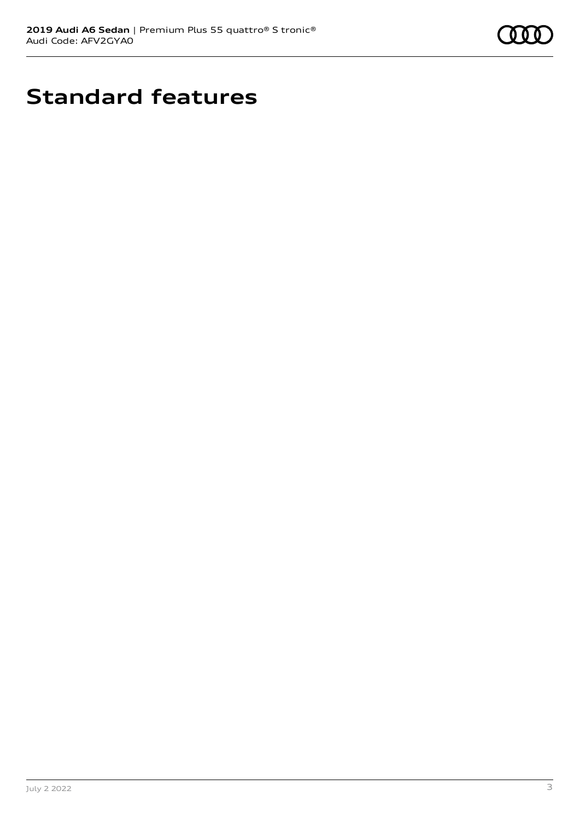

# **Standard features**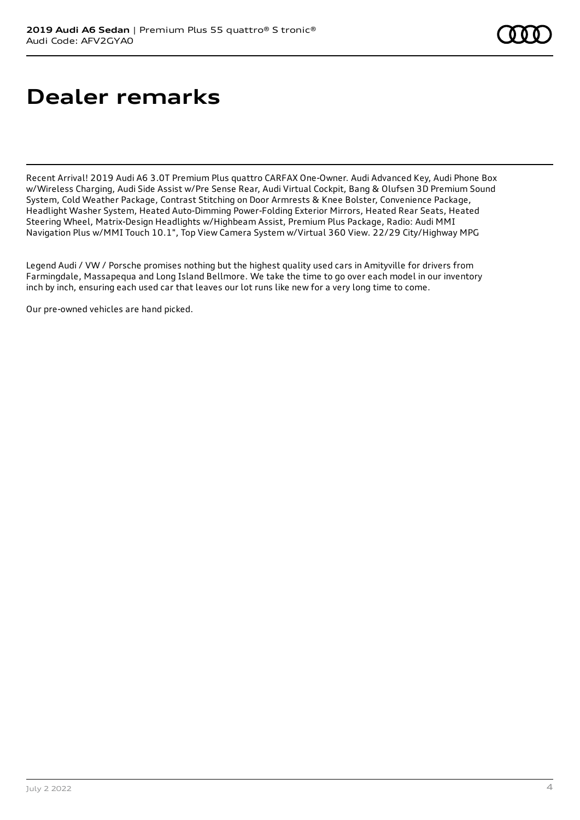# **Dealer remarks**

Recent Arrival! 2019 Audi A6 3.0T Premium Plus quattro CARFAX One-Owner. Audi Advanced Key, Audi Phone Box w/Wireless Charging, Audi Side Assist w/Pre Sense Rear, Audi Virtual Cockpit, Bang & Olufsen 3D Premium Sound System, Cold Weather Package, Contrast Stitching on Door Armrests & Knee Bolster, Convenience Package, Headlight Washer System, Heated Auto-Dimming Power-Folding Exterior Mirrors, Heated Rear Seats, Heated Steering Wheel, Matrix-Design Headlights w/Highbeam Assist, Premium Plus Package, Radio: Audi MMI Navigation Plus w/MMI Touch 10.1", Top View Camera System w/Virtual 360 View. 22/29 City/Highway MPG

Legend Audi / VW / Porsche promises nothing but the highest quality used cars in Amityville for drivers from Farmingdale, Massapequa and Long Island Bellmore. We take the time to go over each model in our inventory inch by inch, ensuring each used car that leaves our lot runs like new for a very long time to come.

Our pre-owned vehicles are hand picked.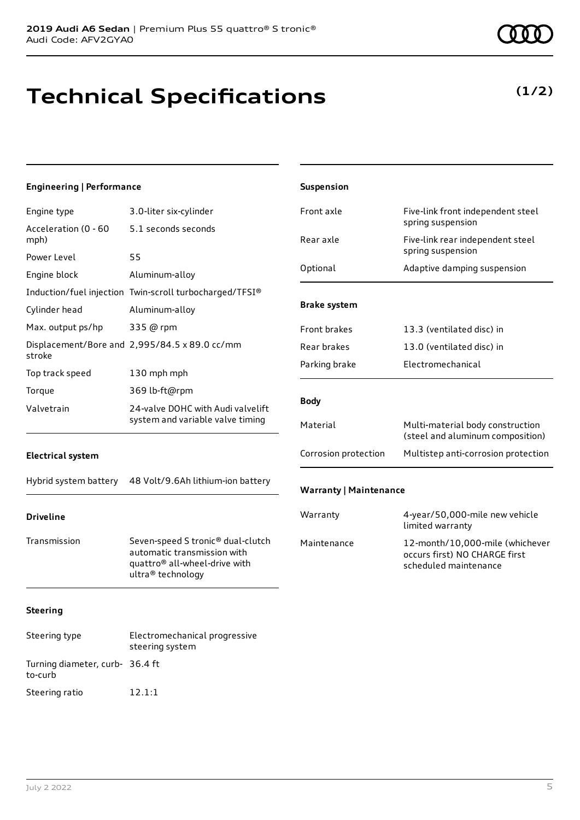# **Technical Specifications**

| <b>Engineering   Performance</b>               |                                                                                                                                    | Suspension                    |                                                                                           |
|------------------------------------------------|------------------------------------------------------------------------------------------------------------------------------------|-------------------------------|-------------------------------------------------------------------------------------------|
| Engine type                                    | 3.0-liter six-cylinder                                                                                                             | Front axle                    | Five-link front independent steel                                                         |
| Acceleration (0 - 60<br>mph)                   | 5.1 seconds seconds                                                                                                                | Rear axle                     | spring suspension<br>Five-link rear independent steel                                     |
| Power Level                                    | 55                                                                                                                                 |                               | spring suspension                                                                         |
| Engine block                                   | Aluminum-alloy                                                                                                                     | Optional                      | Adaptive damping suspension                                                               |
|                                                | Induction/fuel injection Twin-scroll turbocharged/TFSI®                                                                            |                               |                                                                                           |
| Cylinder head                                  | Aluminum-alloy                                                                                                                     | <b>Brake system</b>           |                                                                                           |
| Max. output ps/hp                              | 335 @ rpm                                                                                                                          | Front brakes                  | 13.3 (ventilated disc) in                                                                 |
| stroke                                         | Displacement/Bore and 2,995/84.5 x 89.0 cc/mm                                                                                      | Rear brakes                   | 13.0 (ventilated disc) in                                                                 |
| Top track speed                                | 130 mph mph                                                                                                                        | Parking brake                 | Electromechanical                                                                         |
| Torque                                         | 369 lb-ft@rpm                                                                                                                      |                               |                                                                                           |
| Valvetrain<br>system and variable valve timing | 24-valve DOHC with Audi valvelift                                                                                                  | <b>Body</b>                   |                                                                                           |
|                                                |                                                                                                                                    | Material                      | Multi-material body construction<br>(steel and aluminum composition)                      |
| <b>Electrical system</b>                       |                                                                                                                                    | Corrosion protection          | Multistep anti-corrosion protection                                                       |
| Hybrid system battery                          | 48 Volt/9.6Ah lithium-ion battery                                                                                                  | <b>Warranty   Maintenance</b> |                                                                                           |
| <b>Driveline</b>                               |                                                                                                                                    | Warranty                      | 4-year/50,000-mile new vehicle<br>limited warranty                                        |
| Transmission                                   | Seven-speed S tronic® dual-clutch<br>automatic transmission with<br>quattro <sup>®</sup> all-wheel-drive with<br>ultra® technology | Maintenance                   | 12-month/10,000-mile (whichever<br>occurs first) NO CHARGE first<br>scheduled maintenance |
| <b>Steering</b>                                |                                                                                                                                    |                               |                                                                                           |
| Steering type                                  | Electromechanical progressive<br>steering system                                                                                   |                               |                                                                                           |

to-curb

Turning diameter, curb-36.4 ft

Steering ratio 12.1:1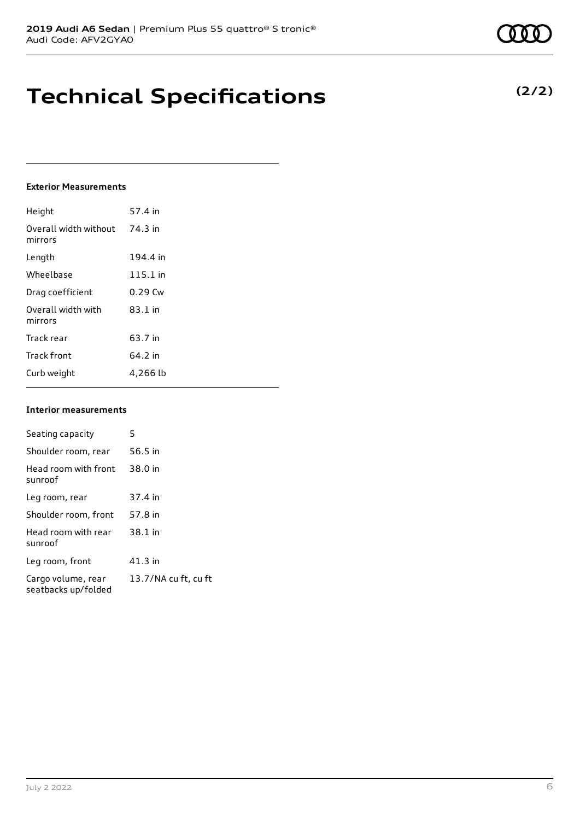### **Technical Specifications**

### **Exterior Measurements**

| Height                           | 57.4 in   |
|----------------------------------|-----------|
| Overall width without<br>mirrors | 74.3 in   |
| Length                           | 194.4 in  |
| Wheelbase                        | 115.1 in  |
| Drag coefficient                 | $0.29$ Cw |
| Overall width with<br>mirrors    | $83.1$ in |
| Track rear                       | 63.7 in   |
| <b>Track front</b>               | 64.2 in   |
| Curb weight                      | 4,266 lb  |

#### **Interior measurements**

| Seating capacity                          | 5                    |
|-------------------------------------------|----------------------|
| Shoulder room, rear                       | 56.5 in              |
| Head room with front<br>sunroof           | 38.0 in              |
| Leg room, rear                            | 37.4 in              |
| Shoulder room, front                      | 57.8 in              |
| Head room with rear<br>sunroof            | 38.1 in              |
| Leg room, front                           | $41.3$ in            |
| Cargo volume, rear<br>seatbacks up/folded | 13.7/NA cu ft, cu ft |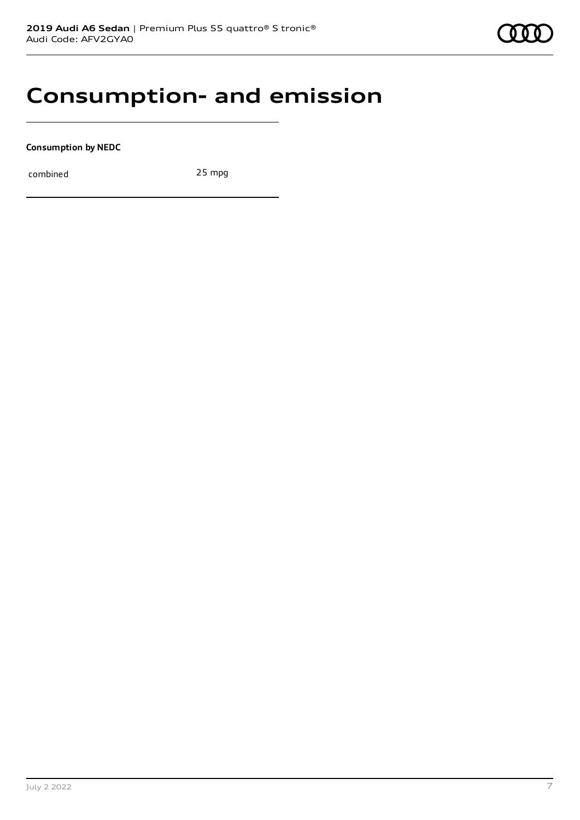### **Consumption- and emission**

**Consumption by NEDC**

combined 25 mpg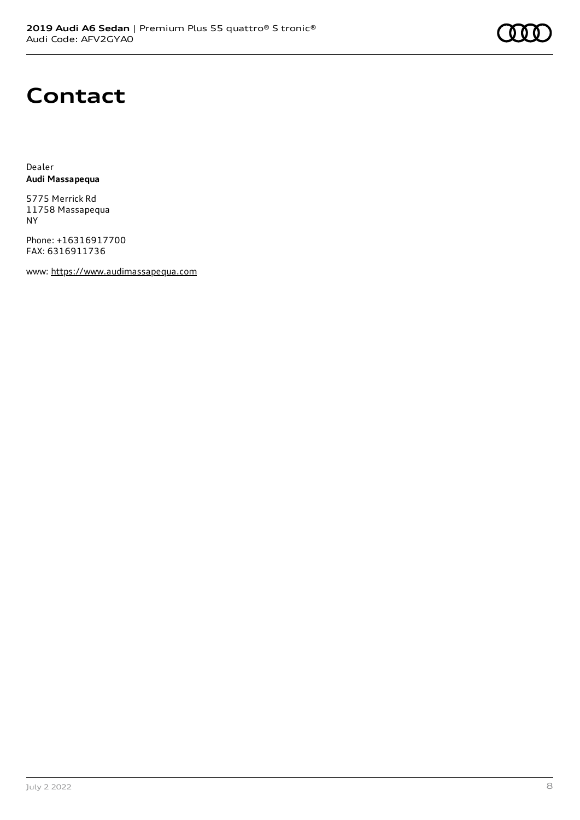### **Contact**

Dealer **Audi Massapequa**

5775 Merrick Rd 11758 Massapequa NY

Phone: +16316917700 FAX: 6316911736

www: [https://www.audimassapequa.com](https://www.audimassapequa.com/)